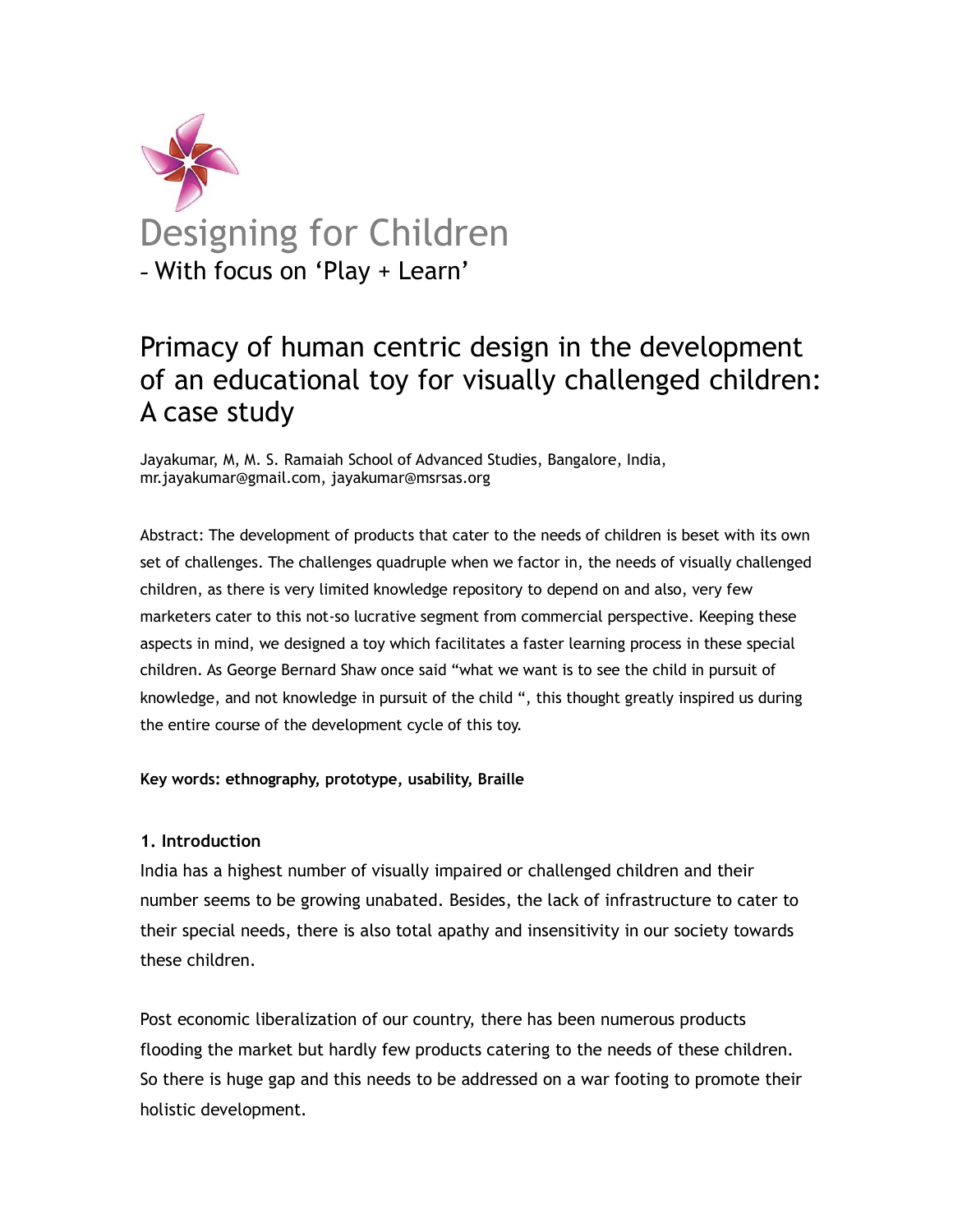

# Primacy of human centric design in the development of an educational toy for visually challenged children: A case study

Jayakumar, M, M. S. Ramaiah School of Advanced Studies, Bangalore, India, mr.jayakumar@gmail.com, jayakumar@msrsas.org

Abstract: The development of products that cater to the needs of children is beset with its own set of challenges. The challenges quadruple when we factor in, the needs of visually challenged children, as there is very limited knowledge repository to depend on and also, very few marketers cater to this not-so lucrative segment from commercial perspective. Keeping these aspects in mind, we designed a toy which facilitates a faster learning process in these special children. As George Bernard Shaw once said "what we want is to see the child in pursuit of knowledge, and not knowledge in pursuit of the child ", this thought greatly inspired us during the entire course of the development cycle of this toy.

**Key words: ethnography, prototype, usability, Braille**

### **1. Introduction**

India has a highest number of visually impaired or challenged children and their number seems to be growing unabated. Besides, the lack of infrastructure to cater to their special needs, there is also total apathy and insensitivity in our society towards these children.

Post economic liberalization of our country, there has been numerous products flooding the market but hardly few products catering to the needs of these children. So there is huge gap and this needs to be addressed on a war footing to promote their holistic development.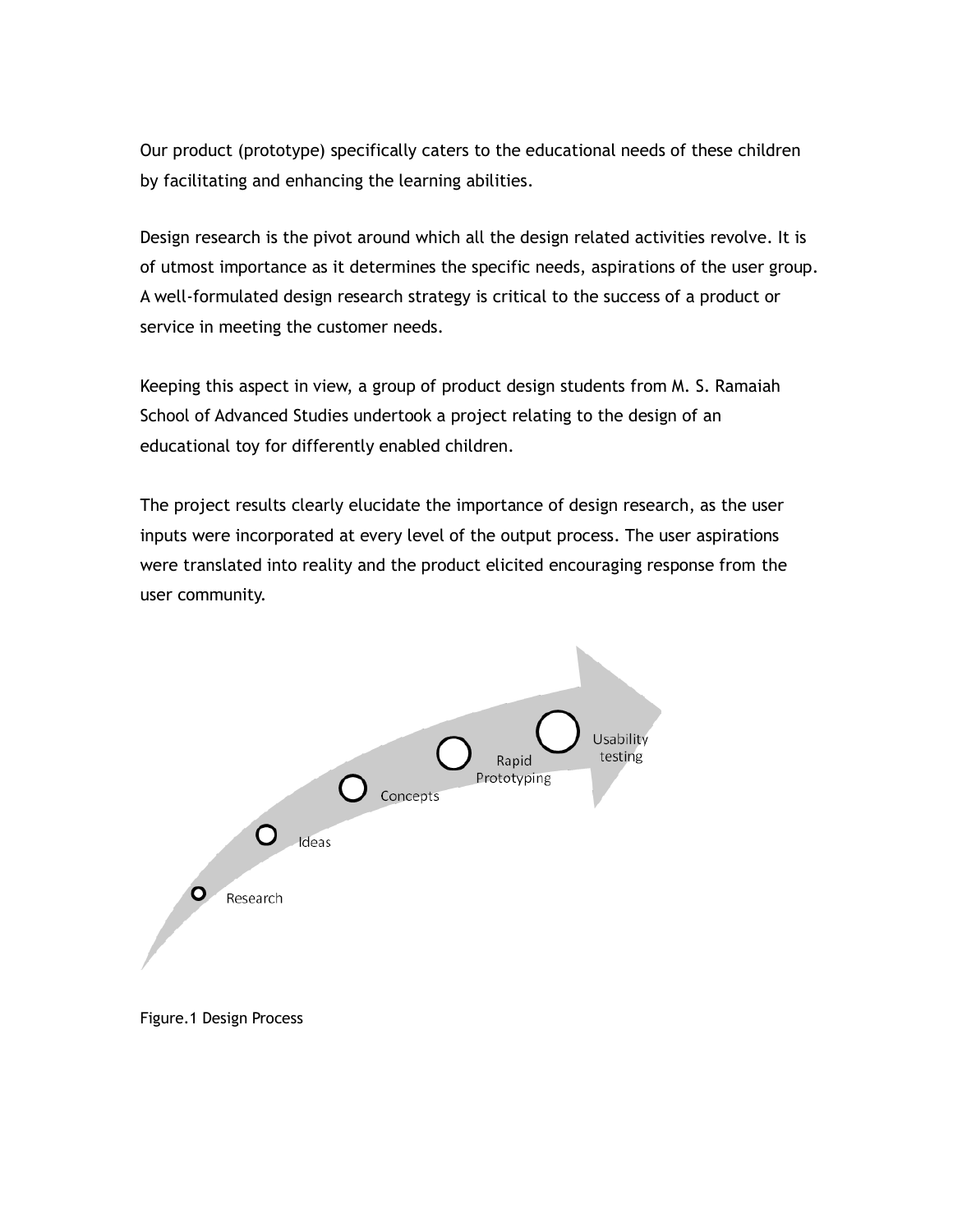Our product (prototype) specifically caters to the educational needs of these children by facilitating and enhancing the learning abilities.

Design research is the pivot around which all the design related activities revolve. It is of utmost importance as it determines the specific needs, aspirations of the user group. A well-formulated design research strategy is critical to the success of a product or service in meeting the customer needs.

Keeping this aspect in view, a group of product design students from M. S. Ramaiah School of Advanced Studies undertook a project relating to the design of an educational toy for differently enabled children.

The project results clearly elucidate the importance of design research, as the user inputs were incorporated at every level of the output process. The user aspirations were translated into reality and the product elicited encouraging response from the user community.



Figure.1 Design Process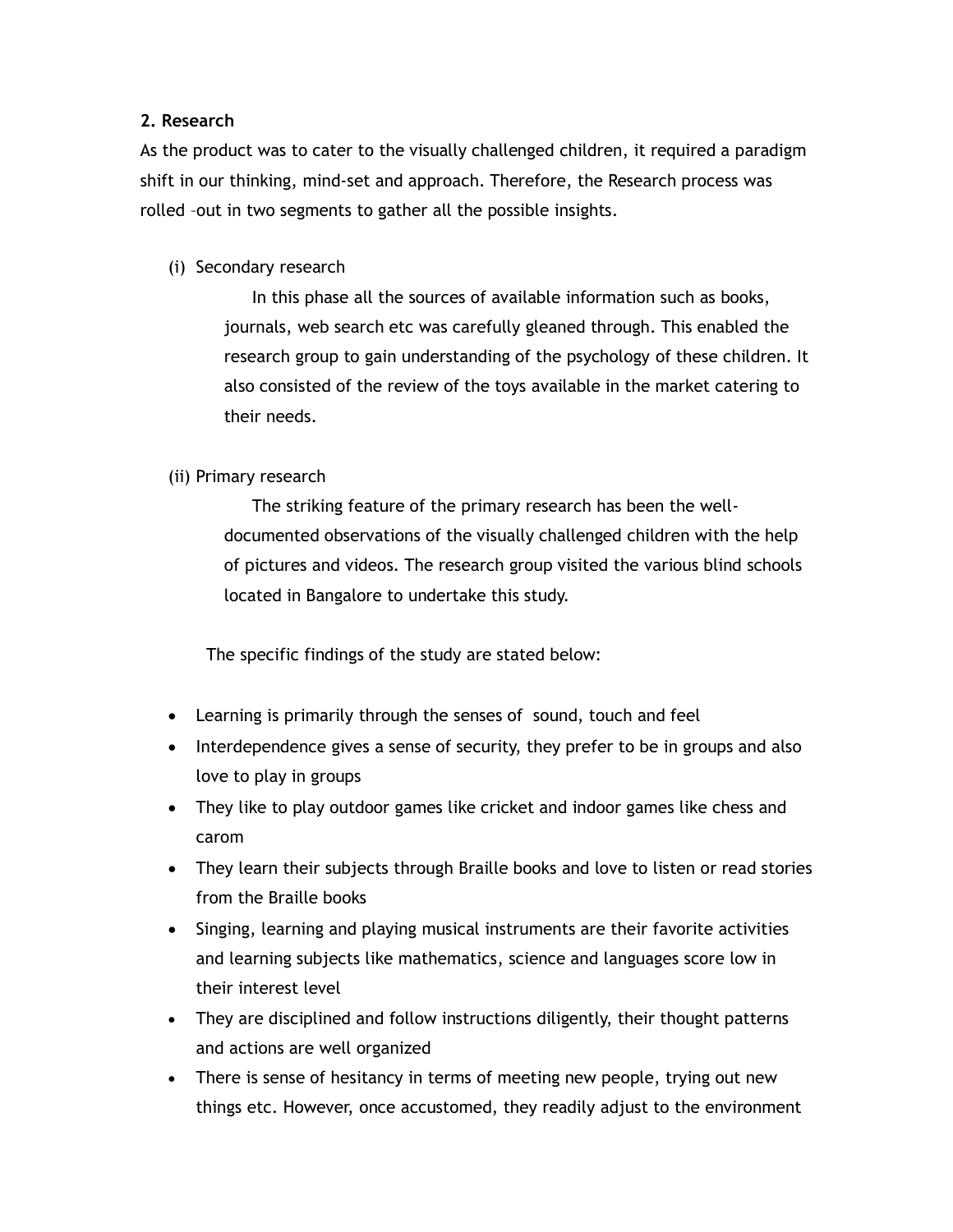## **2. Research**

As the product was to cater to the visually challenged children, it required a paradigm shift in our thinking, mind-set and approach. Therefore, the Research process was rolled –out in two segments to gather all the possible insights.

(i) Secondary research

In this phase all the sources of available information such as books, journals, web search etc was carefully gleaned through. This enabled the research group to gain understanding of the psychology of these children. It also consisted of the review of the toys available in the market catering to their needs.

## (ii) Primary research

The striking feature of the primary research has been the welldocumented observations of the visually challenged children with the help of pictures and videos. The research group visited the various blind schools located in Bangalore to undertake this study.

The specific findings of the study are stated below:

- Learning is primarily through the senses of sound, touch and feel
- Interdependence gives a sense of security, they prefer to be in groups and also love to play in groups
- They like to play outdoor games like cricket and indoor games like chess and carom
- They learn their subjects through Braille books and love to listen or read stories from the Braille books
- Singing, learning and playing musical instruments are their favorite activities and learning subjects like mathematics, science and languages score low in their interest level
- They are disciplined and follow instructions diligently, their thought patterns and actions are well organized
- There is sense of hesitancy in terms of meeting new people, trying out new things etc. However, once accustomed, they readily adjust to the environment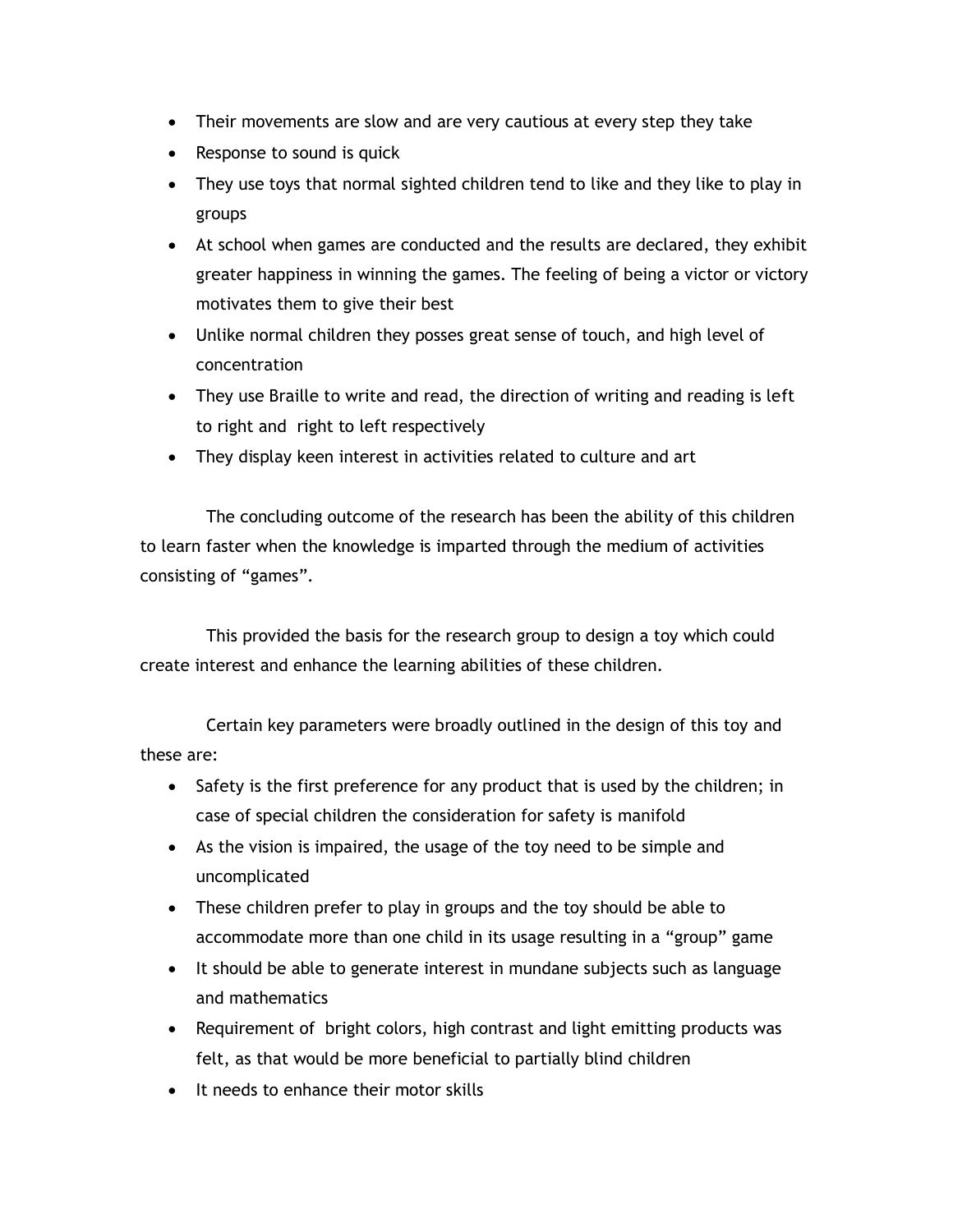- Their movements are slow and are very cautious at every step they take
- Response to sound is quick
- They use toys that normal sighted children tend to like and they like to play in groups
- At school when games are conducted and the results are declared, they exhibit greater happiness in winning the games. The feeling of being a victor or victory motivates them to give their best
- Unlike normal children they posses great sense of touch, and high level of concentration
- They use Braille to write and read, the direction of writing and reading is left to right and right to left respectively
- They display keen interest in activities related to culture and art

The concluding outcome of the research has been the ability of this children to learn faster when the knowledge is imparted through the medium of activities consisting of "games".

This provided the basis for the research group to design a toy which could create interest and enhance the learning abilities of these children.

Certain key parameters were broadly outlined in the design of this toy and these are:

- Safety is the first preference for any product that is used by the children; in case of special children the consideration for safety is manifold
- As the vision is impaired, the usage of the toy need to be simple and uncomplicated
- These children prefer to play in groups and the toy should be able to accommodate more than one child in its usage resulting in a "group" game
- It should be able to generate interest in mundane subjects such as language and mathematics
- Requirement of bright colors, high contrast and light emitting products was felt, as that would be more beneficial to partially blind children
- It needs to enhance their motor skills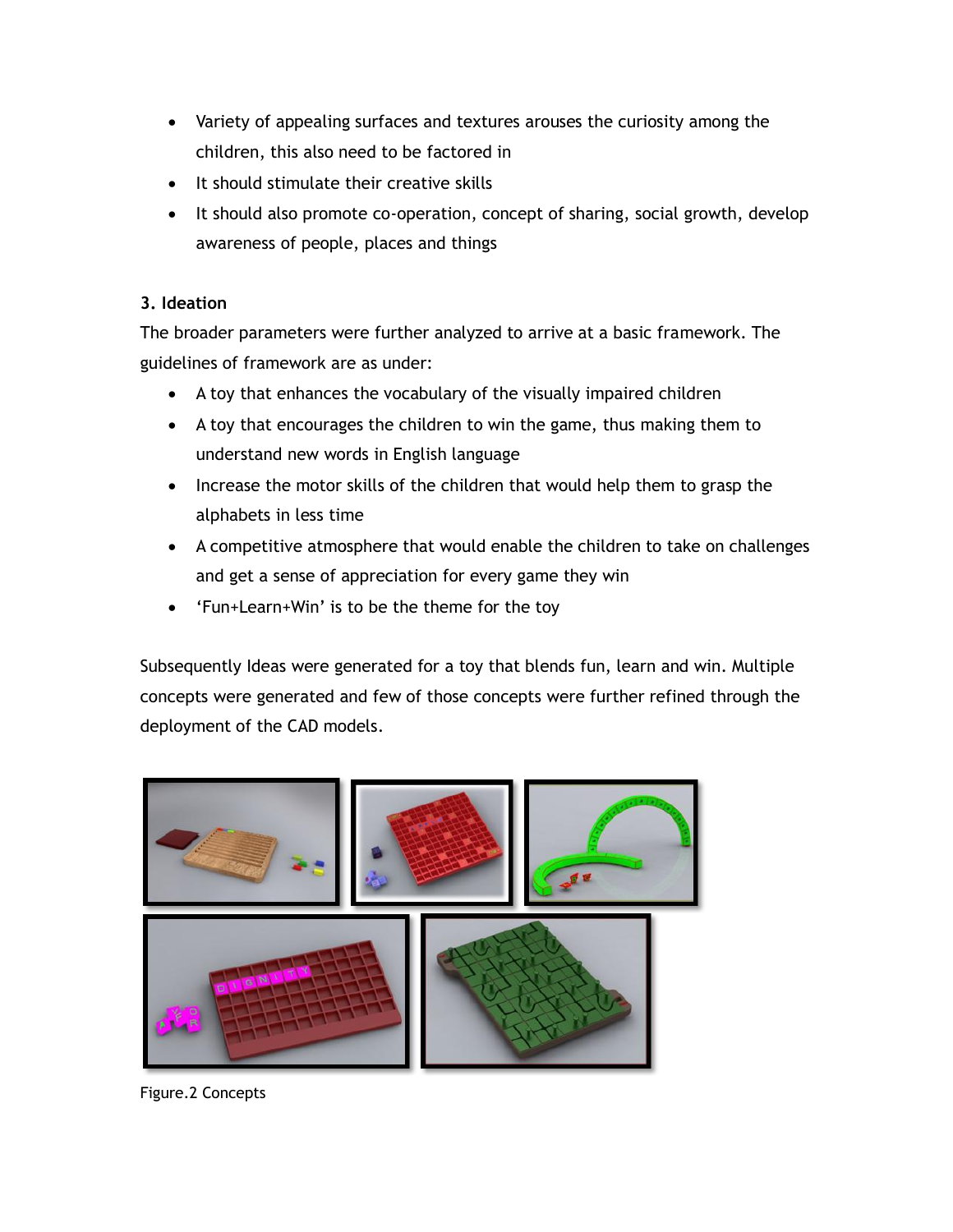- Variety of appealing surfaces and textures arouses the curiosity among the children, this also need to be factored in
- It should stimulate their creative skills
- It should also promote co-operation, concept of sharing, social growth, develop awareness of people, places and things

## **3. Ideation**

The broader parameters were further analyzed to arrive at a basic framework. The guidelines of framework are as under:

- A toy that enhances the vocabulary of the visually impaired children
- A toy that encourages the children to win the game, thus making them to understand new words in English language
- Increase the motor skills of the children that would help them to grasp the alphabets in less time
- A competitive atmosphere that would enable the children to take on challenges and get a sense of appreciation for every game they win
- 'Fun+Learn+Win' is to be the theme for the toy

Subsequently Ideas were generated for a toy that blends fun, learn and win. Multiple concepts were generated and few of those concepts were further refined through the deployment of the CAD models.



Figure.2 Concepts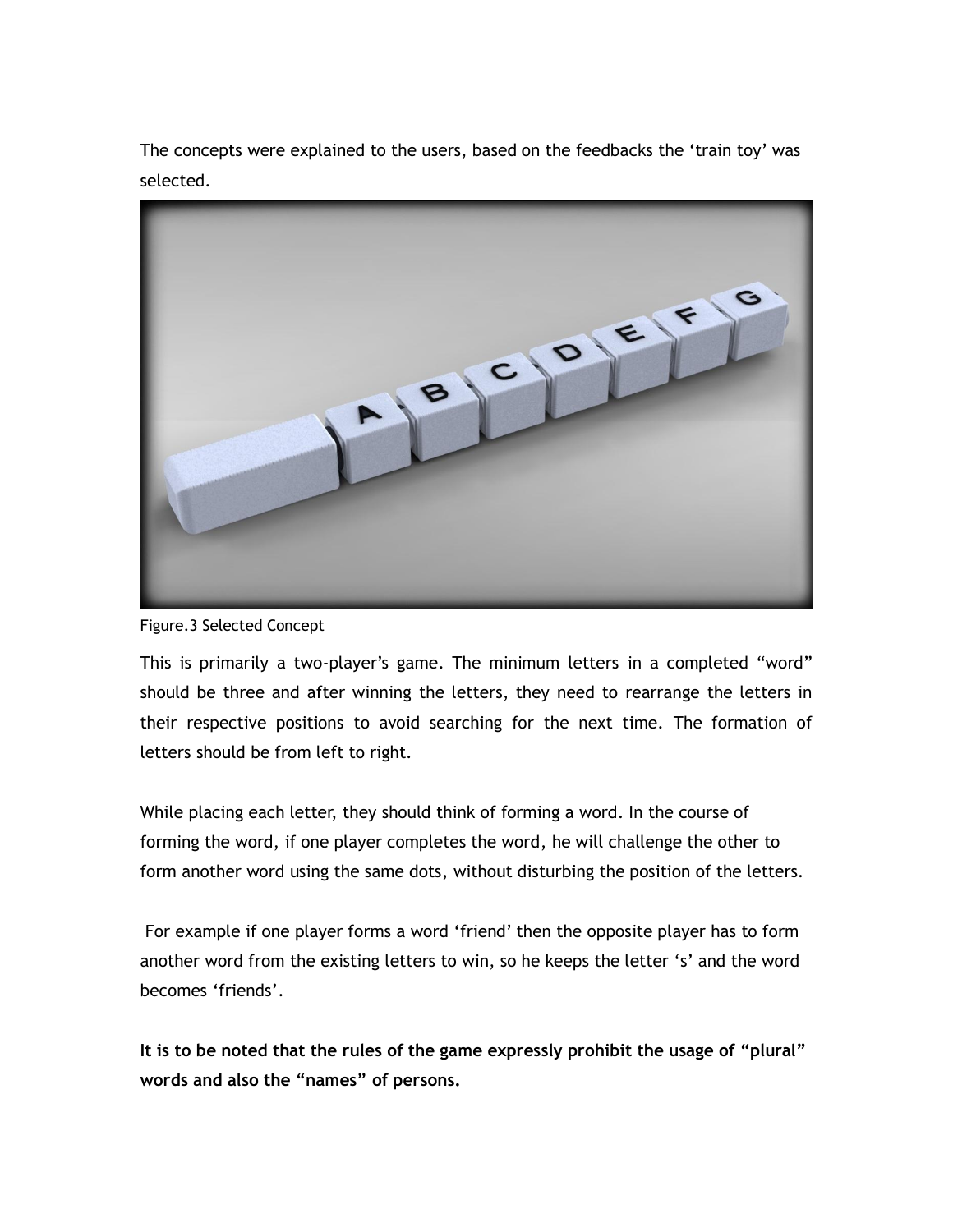The concepts were explained to the users, based on the feedbacks the 'train toy' was selected.



Figure.3 Selected Concept

This is primarily a two-player's game. The minimum letters in a completed "word" should be three and after winning the letters, they need to rearrange the letters in their respective positions to avoid searching for the next time. The formation of letters should be from left to right.

While placing each letter, they should think of forming a word. In the course of forming the word, if one player completes the word, he will challenge the other to form another word using the same dots, without disturbing the position of the letters.

For example if one player forms a word "friend" then the opposite player has to form another word from the existing letters to win, so he keeps the letter 's' and the word becomes 'friends'.

**It is to be noted that the rules of the game expressly prohibit the usage of "plural" words and also the "names" of persons.**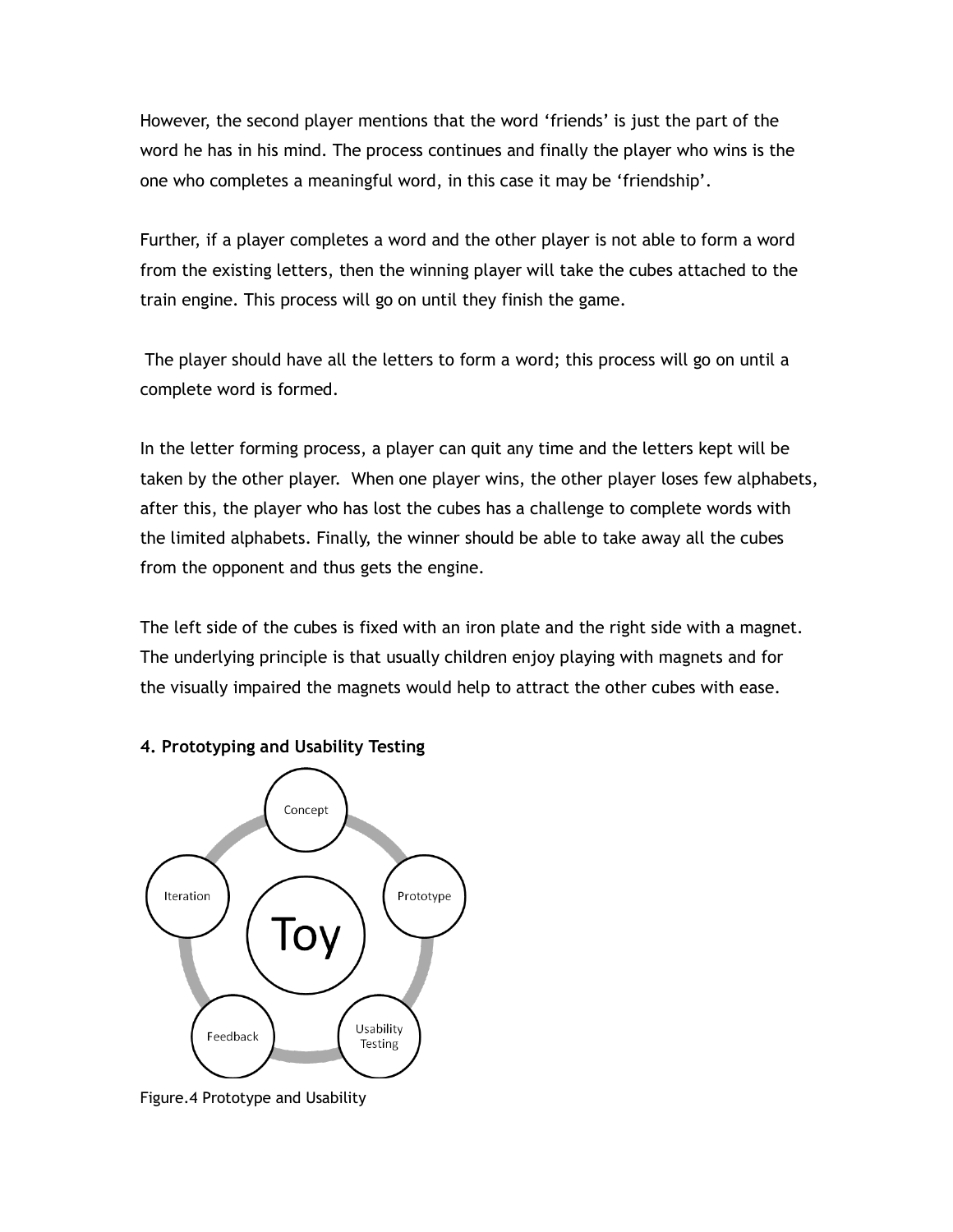However, the second player mentions that the word "friends" is just the part of the word he has in his mind. The process continues and finally the player who wins is the one who completes a meaningful word, in this case it may be "friendship".

Further, if a player completes a word and the other player is not able to form a word from the existing letters, then the winning player will take the cubes attached to the train engine. This process will go on until they finish the game.

The player should have all the letters to form a word; this process will go on until a complete word is formed.

In the letter forming process, a player can quit any time and the letters kept will be taken by the other player. When one player wins, the other player loses few alphabets, after this, the player who has lost the cubes has a challenge to complete words with the limited alphabets. Finally, the winner should be able to take away all the cubes from the opponent and thus gets the engine.

The left side of the cubes is fixed with an iron plate and the right side with a magnet. The underlying principle is that usually children enjoy playing with magnets and for the visually impaired the magnets would help to attract the other cubes with ease.



#### **4. Prototyping and Usability Testing**

Figure.4 Prototype and Usability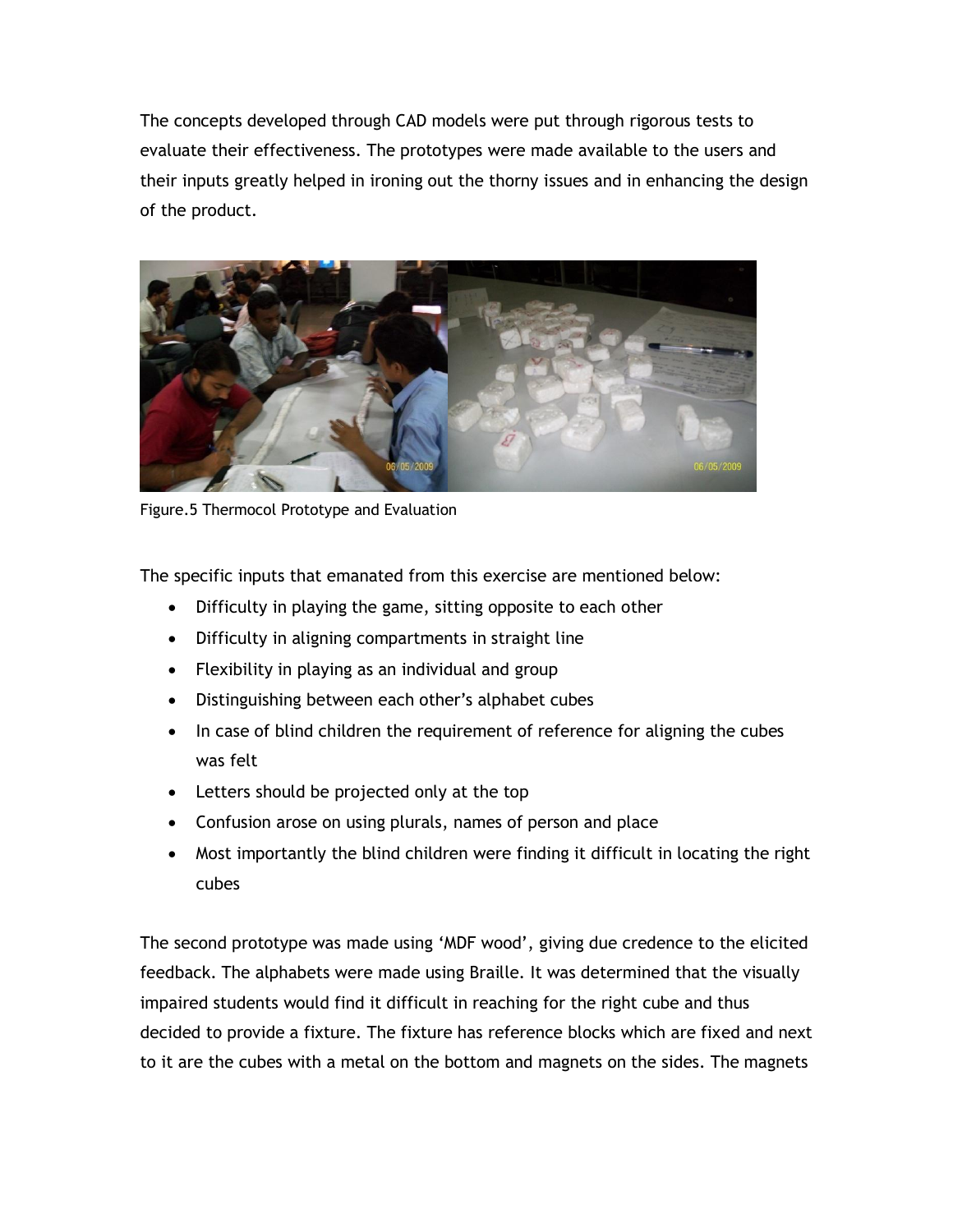The concepts developed through CAD models were put through rigorous tests to evaluate their effectiveness. The prototypes were made available to the users and their inputs greatly helped in ironing out the thorny issues and in enhancing the design of the product.



Figure.5 Thermocol Prototype and Evaluation

The specific inputs that emanated from this exercise are mentioned below:

- Difficulty in playing the game, sitting opposite to each other
- Difficulty in aligning compartments in straight line
- Flexibility in playing as an individual and group
- Distinguishing between each other's alphabet cubes
- In case of blind children the requirement of reference for aligning the cubes was felt
- Letters should be projected only at the top
- Confusion arose on using plurals, names of person and place
- Most importantly the blind children were finding it difficult in locating the right cubes

The second prototype was made using "MDF wood", giving due credence to the elicited feedback. The alphabets were made using Braille. It was determined that the visually impaired students would find it difficult in reaching for the right cube and thus decided to provide a fixture. The fixture has reference blocks which are fixed and next to it are the cubes with a metal on the bottom and magnets on the sides. The magnets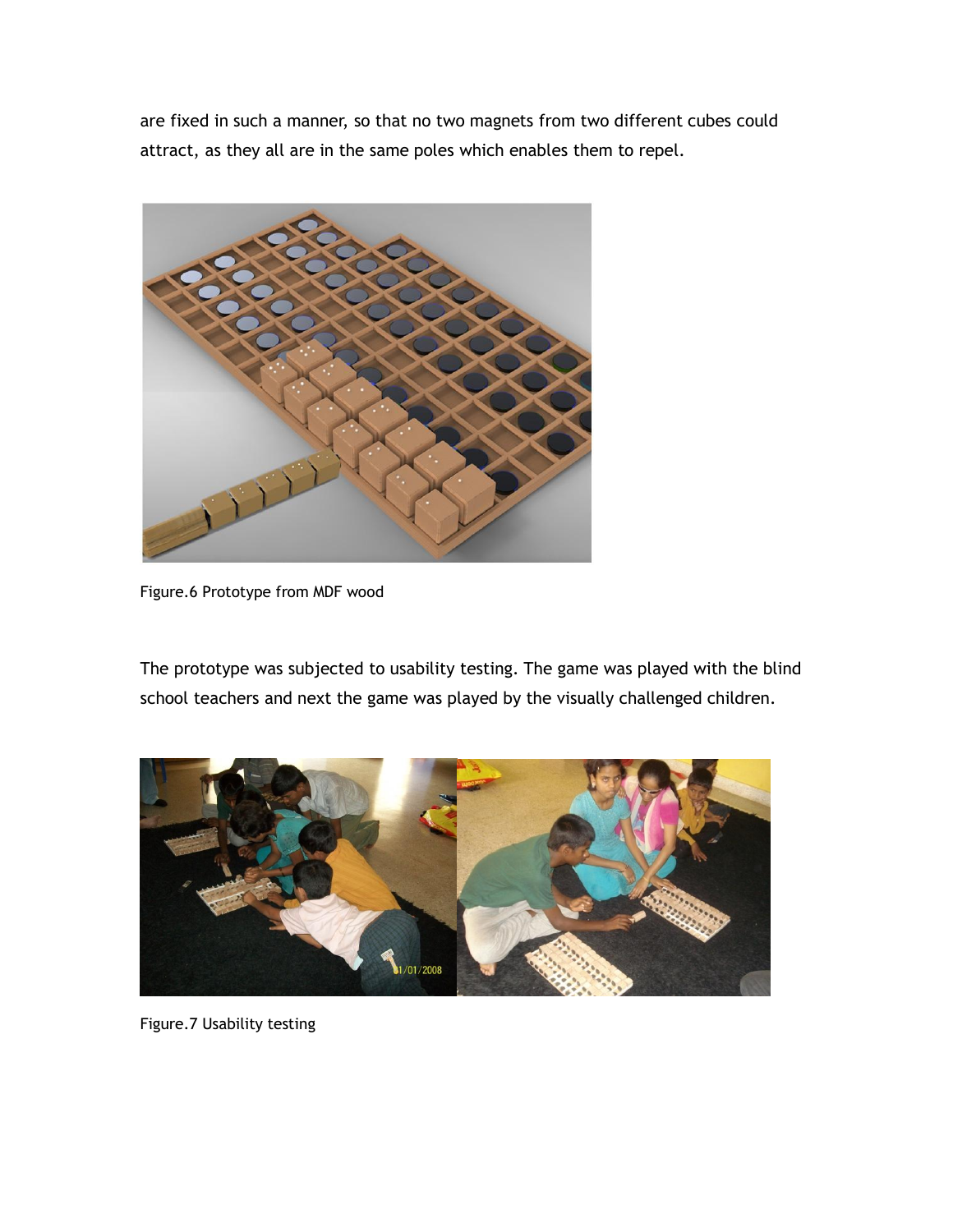are fixed in such a manner, so that no two magnets from two different cubes could attract, as they all are in the same poles which enables them to repel.



Figure.6 Prototype from MDF wood

The prototype was subjected to usability testing. The game was played with the blind school teachers and next the game was played by the visually challenged children.



Figure.7 Usability testing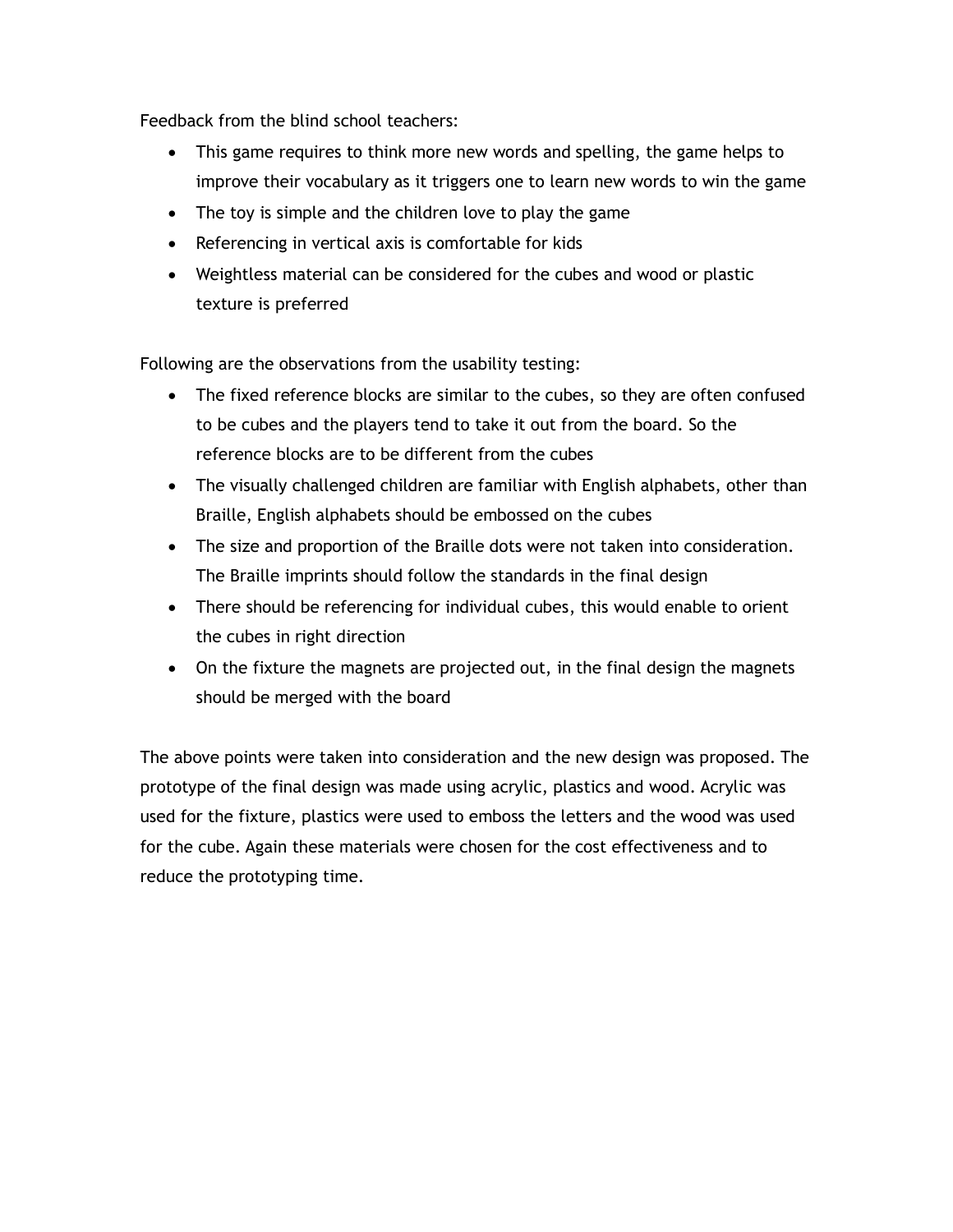Feedback from the blind school teachers:

- This game requires to think more new words and spelling, the game helps to improve their vocabulary as it triggers one to learn new words to win the game
- The toy is simple and the children love to play the game
- Referencing in vertical axis is comfortable for kids
- Weightless material can be considered for the cubes and wood or plastic texture is preferred

Following are the observations from the usability testing:

- The fixed reference blocks are similar to the cubes, so they are often confused to be cubes and the players tend to take it out from the board. So the reference blocks are to be different from the cubes
- The visually challenged children are familiar with English alphabets, other than Braille, English alphabets should be embossed on the cubes
- The size and proportion of the Braille dots were not taken into consideration. The Braille imprints should follow the standards in the final design
- There should be referencing for individual cubes, this would enable to orient the cubes in right direction
- On the fixture the magnets are projected out, in the final design the magnets should be merged with the board

The above points were taken into consideration and the new design was proposed. The prototype of the final design was made using acrylic, plastics and wood. Acrylic was used for the fixture, plastics were used to emboss the letters and the wood was used for the cube. Again these materials were chosen for the cost effectiveness and to reduce the prototyping time.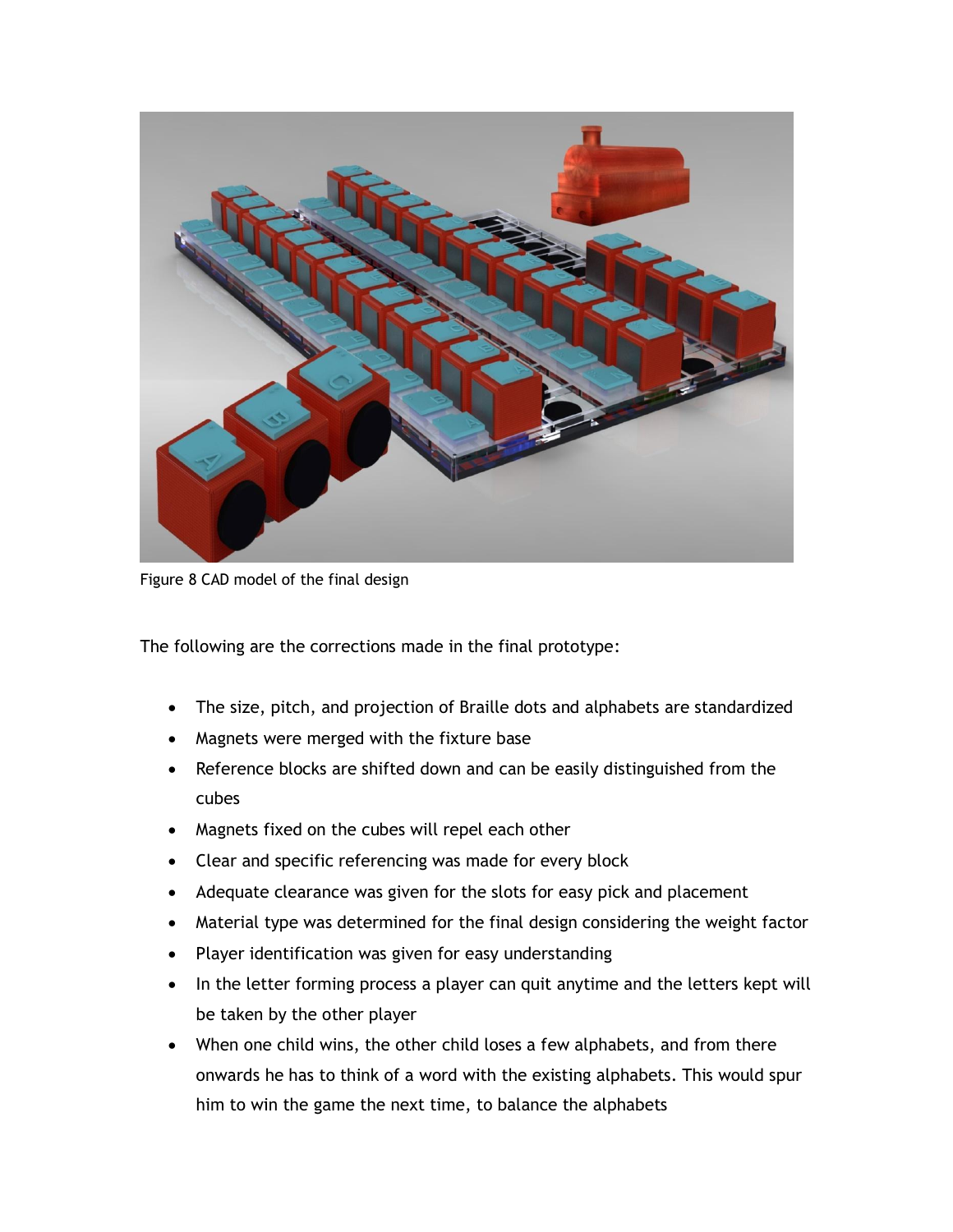

Figure 8 CAD model of the final design

The following are the corrections made in the final prototype:

- The size, pitch, and projection of Braille dots and alphabets are standardized
- Magnets were merged with the fixture base
- Reference blocks are shifted down and can be easily distinguished from the cubes
- Magnets fixed on the cubes will repel each other
- Clear and specific referencing was made for every block
- Adequate clearance was given for the slots for easy pick and placement
- Material type was determined for the final design considering the weight factor
- Player identification was given for easy understanding
- In the letter forming process a player can quit anytime and the letters kept will be taken by the other player
- When one child wins, the other child loses a few alphabets, and from there onwards he has to think of a word with the existing alphabets. This would spur him to win the game the next time, to balance the alphabets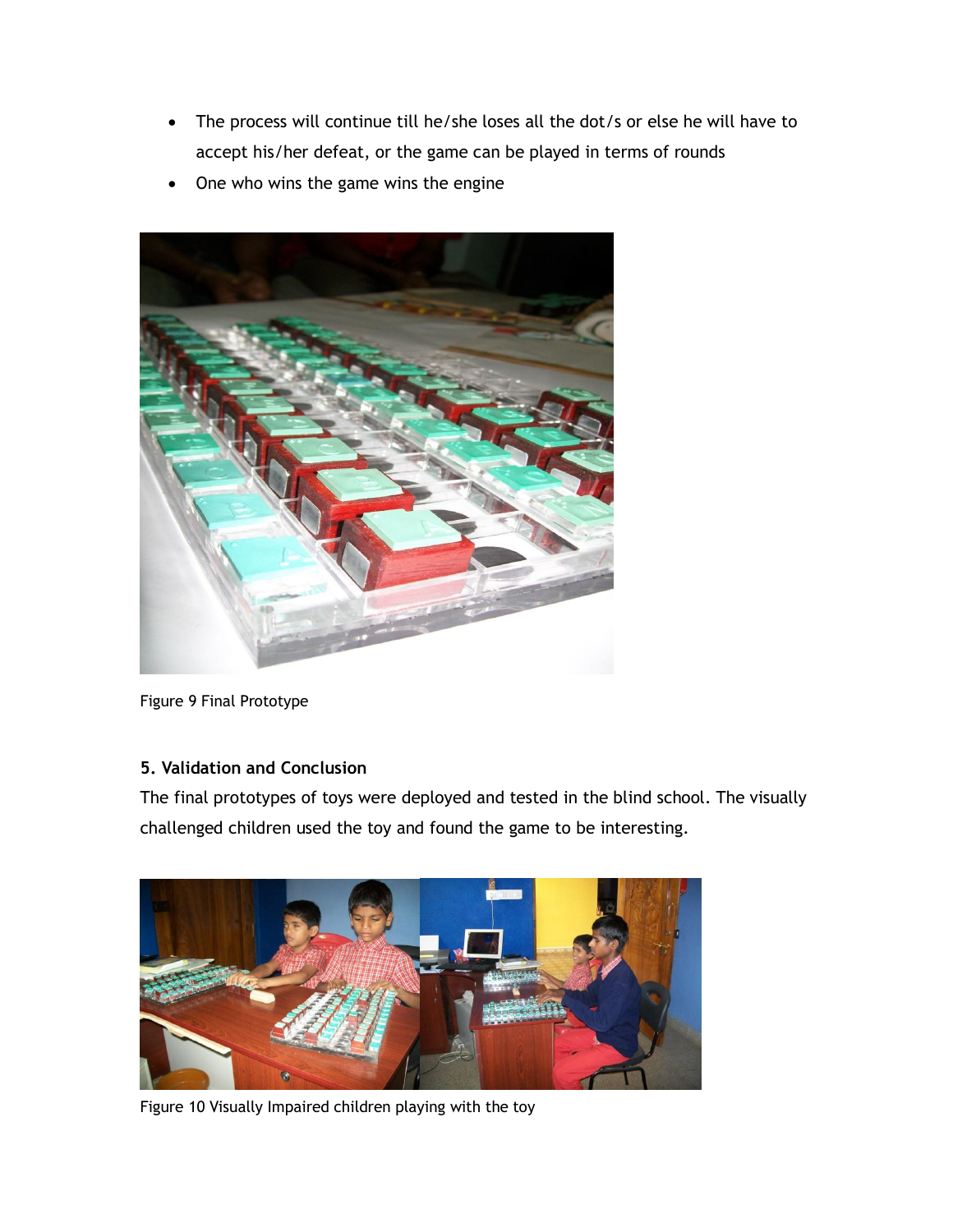- The process will continue till he/she loses all the dot/s or else he will have to accept his/her defeat, or the game can be played in terms of rounds
- One who wins the game wins the engine



Figure 9 Final Prototype

## **5. Validation and Conclusion**

The final prototypes of toys were deployed and tested in the blind school. The visually challenged children used the toy and found the game to be interesting.



Figure 10 Visually Impaired children playing with the toy